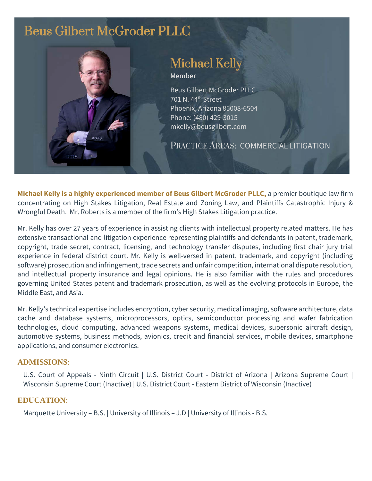# Beus Gilbert McGroder PLLC



# Michael Kelly

**Member**

Beus Gilbert McGroder PLLC 701 N. 44th Street Phoenix, Arizona 85008-6504 Phone: (480) 429-3015 mkelly@beusgilbert.com

PRACTICE AREAS: COMMERCIAL LITIGATION

**Michael Kelly is a highly experienced member of Beus Gilbert McGroder PLLC,** a premier boutique law firm concentrating on High Stakes Litigation, Real Estate and Zoning Law, and Plaintiffs Catastrophic Injury & Wrongful Death. Mr. Roberts is a member of the firm's High Stakes Litigation practice.

Mr. Kelly has over 27 years of experience in assisting clients with intellectual property related matters. He has extensive transactional and litigation experience representing plaintiffs and defendants in patent, trademark, copyright, trade secret, contract, licensing, and technology transfer disputes, including first chair jury trial experience in federal district court. Mr. Kelly is well-versed in patent, trademark, and copyright (including software) prosecution and infringement, trade secrets and unfair competition, international dispute resolution, and intellectual property insurance and legal opinions. He is also familiar with the rules and procedures governing United States patent and trademark prosecution, as well as the evolving protocols in Europe, the Middle East, and Asia.

Mr. Kelly's technical expertise includes encryption, cyber security, medical imaging, software architecture, data cache and database systems, microprocessors, optics, semiconductor processing and wafer fabrication technologies, cloud computing, advanced weapons systems, medical devices, supersonic aircraft design, automotive systems, business methods, avionics, credit and financial services, mobile devices, smartphone applications, and consumer electronics.

#### **ADMISSIONS**:

U.S. Court of Appeals - Ninth Circuit | U.S. District Court - District of Arizona | Arizona Supreme Court | Wisconsin Supreme Court (Inactive) | U.S. District Court - Eastern District of Wisconsin (Inactive)

#### **EDUCATION**:

Marquette University – B.S. | University of Illinois – J.D | University of Illinois - B.S.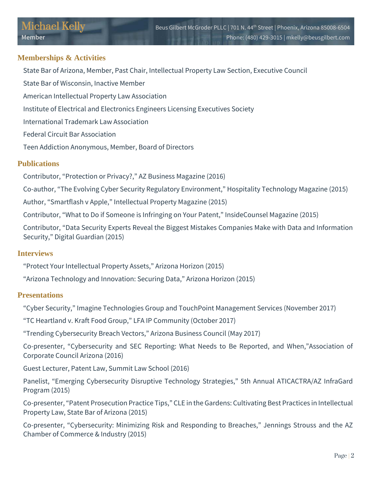# **Memberships & Activities**

State Bar of Arizona, Member, Past Chair, Intellectual Property Law Section, Executive Council

State Bar of Wisconsin, Inactive Member

American Intellectual Property Law Association

Institute of Electrical and Electronics Engineers Licensing Executives Society

International Trademark Law Association

Federal Circuit Bar Association

Teen Addiction Anonymous, Member, Board of Directors

# **Publications**

Contributor, "Protection or Privacy?," AZ Business Magazine (2016)

Co-author, "The Evolving Cyber Security Regulatory Environment," Hospitality Technology Magazine (2015)

Author, "Smartflash v Apple," Intellectual Property Magazine (2015)

Contributor, "What to Do if Someone is Infringing on Your Patent," InsideCounsel Magazine (2015)

Contributor, "Data Security Experts Reveal the Biggest Mistakes Companies Make with Data and Information Security," Digital Guardian (2015)

# **Interviews**

"Protect Your Intellectual Property Assets," Arizona Horizon (2015)

"Arizona Technology and Innovation: Securing Data," Arizona Horizon (2015)

# **Presentations**

"Cyber Security," Imagine Technologies Group and TouchPoint Management Services (November 2017)

"TC Heartland v. Kraft Food Group," LFA IP Community (October 2017)

"Trending Cybersecurity Breach Vectors," Arizona Business Council (May 2017)

Co-presenter, "Cybersecurity and SEC Reporting: What Needs to Be Reported, and When,"Association of Corporate Council Arizona (2016)

Guest Lecturer, Patent Law, Summit Law School (2016)

Panelist, "Emerging Cybersecurity Disruptive Technology Strategies," 5th Annual ATICACTRA/AZ InfraGard Program (2015)

Co-presenter, "Patent Prosecution Practice Tips," CLE in the Gardens: Cultivating Best Practices in Intellectual Property Law, State Bar of Arizona (2015)

Co-presenter, "Cybersecurity: Minimizing Risk and Responding to Breaches," Jennings Strouss and the AZ Chamber of Commerce & Industry (2015)